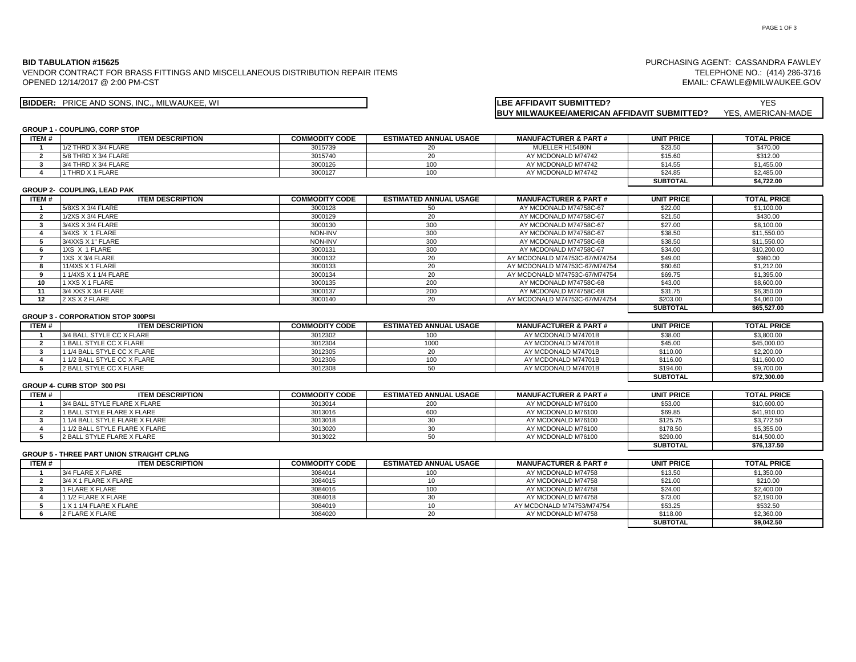### **BID TABULATION #15625**

OPENED 12/14/2017 @ 2:00 PM-CST VENDOR CONTRACT FOR BRASS FITTINGS AND MISCELLANEOUS DISTRIBUTION REPAIR ITEMS

TELEPHONE NO.: (414) 286-3716 EMAIL: CFAWLE@MILWAUKEE.GOV

PURCHASING AGENT: CASSANDRA FAWLEY

# **BIDDER:** YES PRICE AND SONS, INC., MILWAUKEE, WI **LBE AFFIDAVIT SUBMITTED?**

| <b>ILBE AFFIDAVIT SUBMITTED?</b>                   | <b>YES</b>         |
|----------------------------------------------------|--------------------|
| <b>BUY MILWAUKEE/AMERICAN AFFIDAVIT SUBMITTED?</b> | YES. AMERICAN-MADE |

# **GROUP 1 - COUPLING, CORP STOP**

| ITEM #         | <b>ITEM DESCRIPTION</b>                          | <b>COMMODITY CODE</b> | <b>ESTIMATED ANNUAL USAGE</b> | <b>MANUFACTURER &amp; PART#</b> | <b>UNIT PRICE</b> | <b>TOTAL PRICE</b> |
|----------------|--------------------------------------------------|-----------------------|-------------------------------|---------------------------------|-------------------|--------------------|
| -1             | 1/2 THRD X 3/4 FLARE                             | 3015739               | 20                            | MUELLER H15480N                 | \$23.50           | \$470.00           |
| $\overline{2}$ | 5/8 THRD X 3/4 FLARE                             | 3015740               | 20                            | AY MCDONALD M74742              | \$15.60           | \$312.00           |
| $\mathbf{3}$   | 3/4 THRD X 3/4 FLARE                             | 3000126               | 100                           | AY MCDONALD M74742              | \$14.55           | \$1,455.00         |
| $\overline{a}$ | 1 THRD X 1 FLARE                                 | 3000127               | 100                           | AY MCDONALD M74742              | \$24.85           | \$2,485.00         |
|                |                                                  |                       |                               |                                 | <b>SUBTOTAL</b>   | \$4,722.00         |
|                | <b>GROUP 2- COUPLING, LEAD PAK</b>               |                       |                               |                                 |                   |                    |
| <b>ITEM#</b>   | <b>ITEM DESCRIPTION</b>                          | <b>COMMODITY CODE</b> | <b>ESTIMATED ANNUAL USAGE</b> | <b>MANUFACTURER &amp; PART#</b> | <b>UNIT PRICE</b> | <b>TOTAL PRICE</b> |
| -1             | 5/8XS X 3/4 FLARE                                | 3000128               | 50                            | AY MCDONALD M74758C-67          | \$22.00           | \$1,100.00         |
| $\overline{2}$ | 1/2XS X 3/4 FLARE                                | 3000129               | 20                            | AY MCDONALD M74758C-67          | \$21.50           | \$430.00           |
| 3              | 3/4XS X 3/4 FLARE                                | 3000130               | 300                           | AY MCDONALD M74758C-67          | \$27.00           | \$8,100.00         |
| $\overline{a}$ | 3/4XS X 1 FLARE                                  | NON-INV               | 300                           | AY MCDONALD M74758C-67          | \$38.50           | \$11,550.00        |
| 5              | 3/4XXS X 1" FLARE                                | NON-INV               | 300                           | AY MCDONALD M74758C-68          | \$38.50           | \$11,550.00        |
| 6              | 1XS X 1 FLARE                                    | 3000131               | 300                           | AY MCDONALD M74758C-67          | \$34.00           | \$10,200.00        |
| $\overline{7}$ | 1XS X 3/4 FLARE                                  | 3000132               | 20                            | AY MCDONALD M74753C-67/M74754   | \$49.00           | \$980.00           |
| 8              | 11/4XS X 1 FLARE                                 | 3000133               | 20                            | AY MCDONALD M74753C-67/M74754   | \$60.60           | \$1,212.00         |
| 9              | 1 1/4XS X 1 1/4 FLARE                            | 3000134               | 20                            | AY MCDONALD M74753C-67/M74754   | \$69.75           | \$1,395.00         |
| 10             | 1 XXS X 1 FLARE                                  | 3000135               | 200                           | AY MCDONALD M74758C-68          | \$43.00           | \$8,600.00         |
| 11             | 3/4 XXS X 3/4 FLARE                              | 3000137               | 200                           | AY MCDONALD M74758C-68          | \$31.75           | \$6,350.00         |
| 12             | 2 XS X 2 FLARE                                   | 3000140               | 20                            | AY MCDONALD M74753C-67/M74754   | \$203.00          | \$4,060.00         |
|                |                                                  |                       |                               |                                 | <b>SUBTOTAL</b>   | \$65,527.00        |
|                | <b>GROUP 3 - CORPORATION STOP 300PSI</b>         |                       |                               |                                 |                   |                    |
| ITEM#          | <b>ITEM DESCRIPTION</b>                          | <b>COMMODITY CODE</b> | <b>ESTIMATED ANNUAL USAGE</b> | <b>MANUFACTURER &amp; PART#</b> | <b>UNIT PRICE</b> | <b>TOTAL PRICE</b> |
|                | 3/4 BALL STYLE CC X FLARE                        | 3012302               | 100                           | AY MCDONALD M74701B             | \$38.00           | \$3,800.00         |
| $\overline{2}$ | 1 BALL STYLE CC X FLARE                          | 3012304               | 1000                          | AY MCDONALD M74701B             | \$45.00           | \$45,000.00        |
| $\mathbf{3}$   | 1 1/4 BALL STYLE CC X FLARE                      | 3012305               | 20                            | AY MCDONALD M74701B             | \$110.00          | \$2,200.00         |
| 4              | 1 1/2 BALL STYLE CC X FLARE                      | 3012306               | 100                           | AY MCDONALD M74701B             | \$116.00          | \$11,600.00        |
| 5              | 2 BALL STYLE CC X FLARE                          | 3012308               | 50                            | AY MCDONALD M74701B             | \$194.00          | \$9,700.00         |
|                |                                                  |                       |                               |                                 | <b>SUBTOTAL</b>   | \$72,300.00        |
|                | <b>GROUP 4- CURB STOP 300 PSI</b>                |                       |                               |                                 |                   |                    |
| ITEM#          | <b>ITEM DESCRIPTION</b>                          | <b>COMMODITY CODE</b> | <b>ESTIMATED ANNUAL USAGE</b> | <b>MANUFACTURER &amp; PART#</b> | <b>UNIT PRICE</b> | <b>TOTAL PRICE</b> |
|                | 3/4 BALL STYLE FLARE X FLARE                     | 3013014               | 200                           | AY MCDONALD M76100              | \$53.00           | \$10,600.00        |
| $\overline{2}$ | <b>1 BALL STYLE FLARE X FLARE</b>                | 3013016               | 600                           | AY MCDONALD M76100              | \$69.85           | \$41,910.00        |
| $\mathbf{3}$   | 1 1/4 BALL STYLE FLARE X FLARE                   | 3013018               | 30                            | AY MCDONALD M76100              | \$125.75          | \$3,772.50         |
| 4              | 1 1/2 BALL STYLE FLARE X FLARE                   | 3013020               | 30                            | AY MCDONALD M76100              | \$178.50          | \$5,355.00         |
| 5              | 2 BALL STYLE FLARE X FLARE                       | 3013022               | 50                            | AY MCDONALD M76100              | \$290.00          | \$14,500.00        |
|                |                                                  |                       |                               |                                 | <b>SUBTOTAL</b>   | \$76,137.50        |
|                | <b>GROUP 5 - THREE PART UNION STRAIGHT CPLNG</b> |                       |                               |                                 |                   |                    |
| ITEM#          | <b>ITEM DESCRIPTION</b>                          | <b>COMMODITY CODE</b> | <b>ESTIMATED ANNUAL USAGE</b> | <b>MANUFACTURER &amp; PART#</b> | <b>UNIT PRICE</b> | <b>TOTAL PRICE</b> |
| $\mathbf{1}$   | 3/4 FLARE X FLARE                                | 3084014               | 100                           | AY MCDONALD M74758              | \$13.50           | \$1,350.00         |
| $\overline{2}$ | 3/4 X 1 FLARE X FLARE                            | 3084015               | 10                            | AY MCDONALD M74758              | \$21.00           | \$210.00           |
| $\mathbf{3}$   | 1 FLARE X FLARE                                  | 3084016               | 100                           | AY MCDONALD M74758              | \$24.00           | \$2,400.00         |
| $\overline{a}$ | 1 1/2 FLARE X FLARE                              | 3084018               | 30                            | AY MCDONALD M74758              | \$73.00           | \$2,190.00         |
| 5              | 1 X 1 1/4 FLARE X FLARE                          | 3084019               | 10                            | AY MCDONALD M74753/M74754       | \$53.25           | \$532.50           |
| 6              | 2 FLARE X FLARE                                  | 3084020               | 20                            | AY MCDONALD M74758              | \$118.00          | \$2,360.00         |
|                |                                                  |                       |                               |                                 | <b>SUBTOTAL</b>   | \$9.042.50         |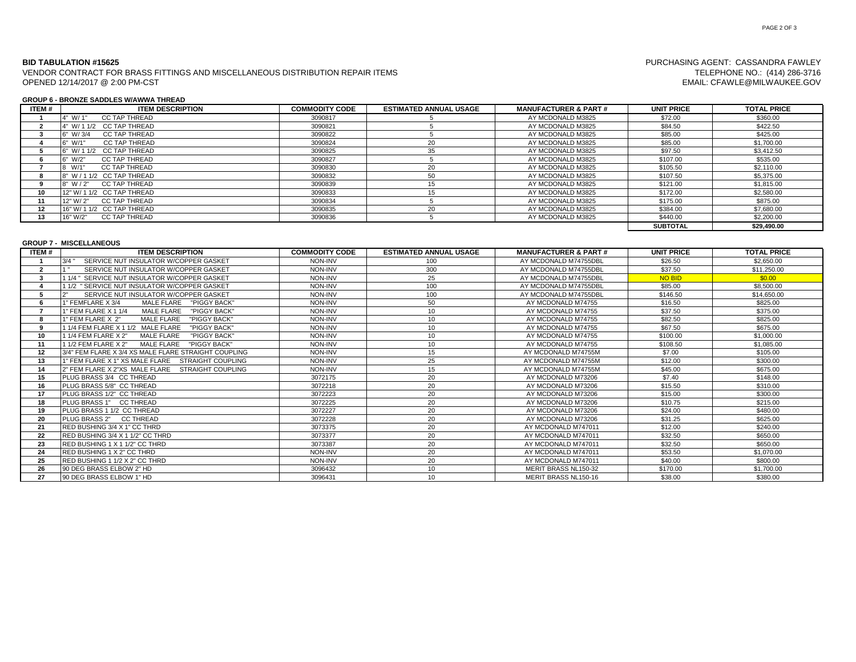### **BID TABULATION #15625**

OPENED 12/14/2017 @ 2:00 PM-CST VENDOR CONTRACT FOR BRASS FITTINGS AND MISCELLANEOUS DISTRIBUTION REPAIR ITEMS

#### **GROUP 6 - BRONZE SADDLES W/AWWA THREAD**

| ITEM# | <b>ITEM DESCRIPTION</b>          | <b>COMMODITY CODE</b> | <b>ESTIMATED ANNUAL USAGE</b> | <b>MANUFACTURER &amp; PART#</b> | <b>UNIT PRICE</b> | <b>TOTAL PRICE</b> |
|-------|----------------------------------|-----------------------|-------------------------------|---------------------------------|-------------------|--------------------|
|       | CC TAP THREAD<br>4" W/ 1"        | 3090817               |                               | AY MCDONALD M3825               | \$72.00           | \$360.00           |
|       | 4" W/ 1 1/2 CC TAP THREAD        | 3090821               |                               | AY MCDONALD M3825               | \$84.50           | \$422.50           |
|       | CC TAP THREAD<br>$6"$ W/ 3/4     | 3090822               |                               | AY MCDONALD M3825               | \$85.00           | \$425.00           |
|       | CC TAP THREAD<br>$6"$ W/1"       | 3090824               | 20                            | AY MCDONALD M3825               | \$85.00           | \$1,700.00         |
|       | 6" W/ 1 1/2 CC TAP THREAD        | 3090825               | 35                            | AY MCDONALD M3825               | \$97.50           | \$3,412.50         |
|       | <b>CC TAP THREAD</b><br>6" W/2"  | 3090827               |                               | AY MCDONALD M3825               | \$107.00          | \$535.00           |
|       | W/1<br>CC TAP THREAD             | 3090830               | 20                            | AY MCDONALD M3825               | \$105.50          | \$2,110,00         |
|       | 8" W / 1 1/2 CC TAP THREAD       | 3090832               | 50                            | AY MCDONALD M3825               | \$107.50          | \$5,375,00         |
|       | CC TAP THREAD<br>8" W / 2"       | 3090839               |                               | AY MCDONALD M3825               | \$121.00          | \$1,815,00         |
| 10    | 12" W/ 1 1/2 CC TAP THREAD       | 3090833               |                               | AY MCDONALD M3825               | \$172.00          | \$2,580.00         |
|       | CC TAP THREAD<br>12" W/ 2"       | 3090834               |                               | AY MCDONALD M3825               | \$175.00          | \$875.00           |
| 12    | 16" W/ 1 1/2 CC TAP THREAD       | 3090835               | 20                            | AY MCDONALD M3825               | \$384.00          | \$7,680.00         |
| 13    | <b>CC TAP THREAD</b><br>16" W/2" | 3090836               |                               | AY MCDONALD M3825               | \$440.00          | \$2,200.00         |
|       |                                  |                       |                               |                                 | <b>SUBTOTAL</b>   | \$29,490.00        |

# **GROUP 7 - MISCELLANEOUS**

| <b>ITEM#</b> | <b>ITEM DESCRIPTION</b>                                     | <b>COMMODITY CODE</b> | <b>ESTIMATED ANNUAL USAGE</b> | <b>MANUFACTURER &amp; PART#</b> | <b>UNIT PRICE</b> | <b>TOTAL PRICE</b> |
|--------------|-------------------------------------------------------------|-----------------------|-------------------------------|---------------------------------|-------------------|--------------------|
|              | 3/4<br>SERVICE NUT INSULATOR W/COPPER GASKET                | NON-INV               | 100                           | AY MCDONALD M74755DBL           | \$26.50           | \$2,650.00         |
| ຳ            | SERVICE NUT INSULATOR W/COPPER GASKET                       | NON-INV               | 300                           | AY MCDONALD M74755DBL           | \$37.50           | \$11,250.00        |
|              | 1 1/4 " SERVICE NUT INSULATOR W/COPPER GASKET               | NON-INV               | 25                            | AY MCDONALD M74755DBL           | <b>NO BID</b>     | \$0.00             |
|              | 1 1/2 " SERVICE NUT INSULATOR W/COPPER GASKET               | NON-INV               | 100                           | AY MCDONALD M74755DBL           | \$85.00           | \$8,500.00         |
|              | $\Omega$<br>SERVICE NUT INSULATOR W/COPPER GASKET           | NON-INV               | 100                           | AY MCDONALD M74755DBL           | \$146.50          | \$14,650.00        |
|              | "PIGGY BACK"<br>1" FEMFLARE X 3/4<br>MALE FLARE             | NON-INV               | 50                            | AY MCDONALD M74755              | \$16.50           | \$825.00           |
|              | <b>MALE FLARE</b><br>"PIGGY BACK"<br>1" FEM FLARE X 1 1/4   | NON-INV               | 10                            | AY MCDONALD M74755              | \$37.50           | \$375.00           |
|              | 1" FEM FLARE X 2"<br><b>MALE FLARE</b><br>"PIGGY BACK"      | NON-INV               | 10                            | AY MCDONALD M74755              | \$82.50           | \$825.00           |
|              | 1 1/4 FEM FLARE X 1 1/2 MALE FLARE<br>"PIGGY BACK"          | NON-INV               | 10                            | AY MCDONALD M74755              | \$67.50           | \$675.00           |
| 10           | "PIGGY BACK"<br>1 1/4 FEM FLARE X 2"<br><b>MALE FLARE</b>   | NON-INV               | 10                            | AY MCDONALD M74755              | \$100.00          | \$1,000.00         |
| 11           | 1 1/2 FEM FLARE X 2"<br><b>MALE FLARE</b><br>"PIGGY BACK"   | NON-INV               | 10                            | AY MCDONALD M74755              | \$108.50          | \$1,085.00         |
| 12           | 3/4" FEM FLARE X 3/4 XS MALE FLARE STRAIGHT COUPLING        | NON-INV               | 15                            | AY MCDONALD M74755M             | \$7.00            | \$105.00           |
| 13           | 1" FEM FLARE X 1" XS MALE FLARE<br><b>STRAIGHT COUPLING</b> | NON-INV               | 25                            | AY MCDONALD M74755M             | \$12.00           | \$300.00           |
| 14           | 2" FEM FLARE X 2"XS MALE FLARE<br><b>STRAIGHT COUPLING</b>  | NON-INV               | 15                            | AY MCDONALD M74755M             | \$45.00           | \$675.00           |
| 15           | PLUG BRASS 3/4 CC THREAD                                    | 3072175               | 20                            | AY MCDONALD M73206              | \$7.40            | \$148.00           |
| 16           | PLUG BRASS 5/8" CC THREAD                                   | 3072218               | 20                            | AY MCDONALD M73206              | \$15.50           | \$310.00           |
| 17           | PLUG BRASS 1/2" CC THREAD                                   | 3072223               | 20                            | AY MCDONALD M73206              | \$15.00           | \$300.00           |
| 18           | PLUG BRASS 1" CC THREAD                                     | 3072225               | 20                            | AY MCDONALD M73206              | \$10.75           | \$215.00           |
| 19           | PLUG BRASS 1 1/2 CC THREAD                                  | 3072227               | 20                            | AY MCDONALD M73206              | \$24.00           | \$480.00           |
| 20           | PLUG BRASS 2"<br><b>CC THREAD</b>                           | 3072228               | 20                            | AY MCDONALD M73206              | \$31.25           | \$625.00           |
| 21           | RED BUSHING 3/4 X 1" CC THRD                                | 3073375               | 20                            | AY MCDONALD M747011             | \$12.00           | \$240.00           |
| 22           | RED BUSHING 3/4 X 1 1/2" CC THRD                            | 3073377               | 20                            | AY MCDONALD M747011             | \$32.50           | \$650.00           |
| 23           | RED BUSHING 1 X 1 1/2" CC THRD                              | 3073387               | 20                            | AY MCDONALD M747011             | \$32.50           | \$650.00           |
| 24           | RED BUSHING 1 X 2" CC THRD                                  | NON-INV               | 20                            | AY MCDONALD M747011             | \$53.50           | \$1.070.00         |
| 25           | RED BUSHING 1 1/2 X 2" CC THRD                              | NON-INV               | 20                            | AY MCDONALD M747011             | \$40.00           | \$800.00           |
| 26           | 90 DEG BRASS ELBOW 2" HD                                    | 3096432               | 10                            | MERIT BRASS NL150-32            | \$170.00          | \$1,700.00         |
| 27           | 90 DEG BRASS ELBOW 1" HD                                    | 3096431               | 10                            | MERIT BRASS NL150-16            | \$38.00           | \$380.00           |

# PURCHASING AGENT: CASSANDRA FAWLEY TELEPHONE NO.: (414) 286-3716 EMAIL: CFAWLE@MILWAUKEE.GOV